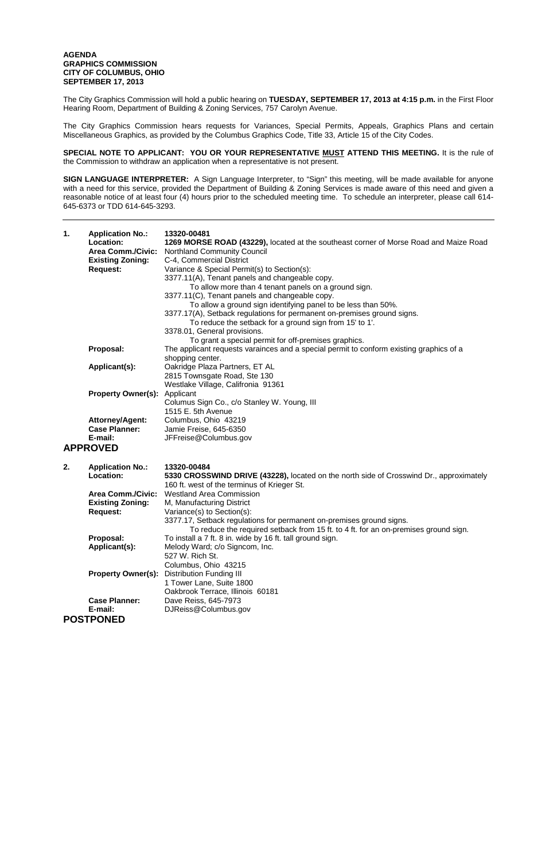## **AGENDA GRAPHICS COMMISSION CITY OF COLUMBUS, OHIO SEPTEMBER 17, 2013**

The City Graphics Commission will hold a public hearing on **TUESDAY, SEPTEMBER 17, 2013 at 4:15 p.m.** in the First Floor Hearing Room, Department of Building & Zoning Services, 757 Carolyn Avenue.

The City Graphics Commission hears requests for Variances, Special Permits, Appeals, Graphics Plans and certain Miscellaneous Graphics, as provided by the Columbus Graphics Code, Title 33, Article 15 of the City Codes.

**SPECIAL NOTE TO APPLICANT: YOU OR YOUR REPRESENTATIVE MUST ATTEND THIS MEETING.** It is the rule of the Commission to withdraw an application when a representative is not present.

**SIGN LANGUAGE INTERPRETER:** A Sign Language Interpreter, to "Sign" this meeting, will be made available for anyone with a need for this service, provided the Department of Building & Zoning Services is made aware of this need and given a reasonable notice of at least four (4) hours prior to the scheduled meeting time. To schedule an interpreter, please call 614- 645-6373 or TDD 614-645-3293.

| 1. | <b>Application No.:</b><br>Location:<br><b>Area Comm./Civic:</b><br><b>Existing Zoning:</b><br><b>Request:</b> | 13320-00481<br>1269 MORSE ROAD (43229), located at the southeast corner of Morse Road and Maize Road<br><b>Northland Community Council</b><br>C-4, Commercial District<br>Variance & Special Permit(s) to Section(s):<br>3377.11(A), Tenant panels and changeable copy.<br>To allow more than 4 tenant panels on a ground sign.<br>3377.11(C), Tenant panels and changeable copy.<br>To allow a ground sign identifying panel to be less than 50%.<br>3377.17(A), Setback regulations for permanent on-premises ground signs.<br>To reduce the setback for a ground sign from 15' to 1'.<br>3378.01, General provisions.<br>To grant a special permit for off-premises graphics. |  |  |
|----|----------------------------------------------------------------------------------------------------------------|----------------------------------------------------------------------------------------------------------------------------------------------------------------------------------------------------------------------------------------------------------------------------------------------------------------------------------------------------------------------------------------------------------------------------------------------------------------------------------------------------------------------------------------------------------------------------------------------------------------------------------------------------------------------------------|--|--|
|    | Proposal:                                                                                                      | The applicant requests varainces and a special permit to conform existing graphics of a<br>shopping center.                                                                                                                                                                                                                                                                                                                                                                                                                                                                                                                                                                      |  |  |
|    | Applicant(s):                                                                                                  | Oakridge Plaza Partners, ET AL<br>2815 Townsgate Road, Ste 130<br>Westlake Village, Califronia 91361                                                                                                                                                                                                                                                                                                                                                                                                                                                                                                                                                                             |  |  |
|    | <b>Property Owner(s):</b>                                                                                      | Applicant<br>Columus Sign Co., c/o Stanley W. Young, III<br>1515 E. 5th Avenue                                                                                                                                                                                                                                                                                                                                                                                                                                                                                                                                                                                                   |  |  |
|    | <b>Attorney/Agent:</b>                                                                                         | Columbus, Ohio 43219                                                                                                                                                                                                                                                                                                                                                                                                                                                                                                                                                                                                                                                             |  |  |
|    | <b>Case Planner:</b><br>E-mail:                                                                                | Jamie Freise, 645-6350<br>JFFreise@Columbus.gov                                                                                                                                                                                                                                                                                                                                                                                                                                                                                                                                                                                                                                  |  |  |
|    | <b>APPROVED</b>                                                                                                |                                                                                                                                                                                                                                                                                                                                                                                                                                                                                                                                                                                                                                                                                  |  |  |
| 2. | <b>Application No.:</b><br>Location:                                                                           | 13320-00484<br>5330 CROSSWIND DRIVE (43228), located on the north side of Crosswind Dr., approximately<br>160 ft. west of the terminus of Krieger St.                                                                                                                                                                                                                                                                                                                                                                                                                                                                                                                            |  |  |
|    | <b>Area Comm./Civic:</b>                                                                                       | <b>Westland Area Commission</b>                                                                                                                                                                                                                                                                                                                                                                                                                                                                                                                                                                                                                                                  |  |  |
|    | <b>Existing Zoning:</b><br><b>Request:</b>                                                                     | M, Manufacturing District<br>Variance(s) to Section(s):                                                                                                                                                                                                                                                                                                                                                                                                                                                                                                                                                                                                                          |  |  |
|    |                                                                                                                | 3377.17, Setback regulations for permanent on-premises ground signs.<br>To reduce the required setback from 15 ft. to 4 ft. for an on-premises ground sign.                                                                                                                                                                                                                                                                                                                                                                                                                                                                                                                      |  |  |
|    | Proposal:                                                                                                      | To install a 7 ft. 8 in. wide by 16 ft. tall ground sign.                                                                                                                                                                                                                                                                                                                                                                                                                                                                                                                                                                                                                        |  |  |
|    | Applicant(s):                                                                                                  | Melody Ward; c/o Signcom, Inc.<br>527 W. Rich St.<br>Columbus, Ohio 43215                                                                                                                                                                                                                                                                                                                                                                                                                                                                                                                                                                                                        |  |  |
|    | <b>Property Owner(s):</b>                                                                                      | <b>Distribution Funding III</b>                                                                                                                                                                                                                                                                                                                                                                                                                                                                                                                                                                                                                                                  |  |  |
|    |                                                                                                                | 1 Tower Lane, Suite 1800<br>Oakbrook Terrace, Illinois 60181                                                                                                                                                                                                                                                                                                                                                                                                                                                                                                                                                                                                                     |  |  |
|    | <b>Case Planner:</b>                                                                                           | Dave Reiss, 645-7973                                                                                                                                                                                                                                                                                                                                                                                                                                                                                                                                                                                                                                                             |  |  |
|    | E-mail:                                                                                                        | DJReiss@Columbus.gov                                                                                                                                                                                                                                                                                                                                                                                                                                                                                                                                                                                                                                                             |  |  |
|    | <b>POSTPONED</b>                                                                                               |                                                                                                                                                                                                                                                                                                                                                                                                                                                                                                                                                                                                                                                                                  |  |  |